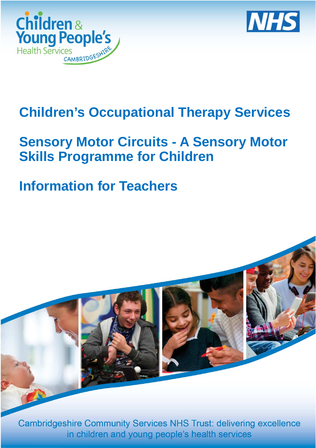



# **Children's Occupational Therapy Services**

## **Sensory Motor Circuits - A Sensory Motor Skills Programme for Children**

# **Information for Teachers**



**Cambridgeshire Community Services NHS Trust: delivering excellence** in children and young people's health services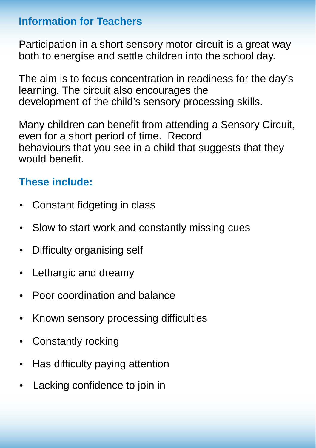#### **Information for Teachers**

Participation in a short sensory motor circuit is a great way both to energise and settle children into the school day.

The aim is to focus concentration in readiness for the day's learning. The circuit also encourages the development of the child's sensory processing skills.

Many children can benefit from attending a Sensory Circuit, even for a short period of time. Record behaviours that you see in a child that suggests that they would benefit

### **These include:**

- Constant fidgeting in class
- Slow to start work and constantly missing cues
- Difficulty organising self
- Lethargic and dreamy
- Poor coordination and balance
- Known sensory processing difficulties
- Constantly rocking
- Has difficulty paying attention
- Lacking confidence to join in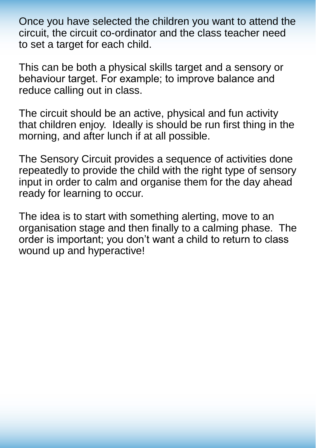Once you have selected the children you want to attend the circuit, the circuit co-ordinator and the class teacher need to set a target for each child.

This can be both a physical skills target and a sensory or behaviour target. For example; to improve balance and reduce calling out in class.

The circuit should be an active, physical and fun activity that children enjoy. Ideally is should be run first thing in the morning, and after lunch if at all possible.

The Sensory Circuit provides a sequence of activities done repeatedly to provide the child with the right type of sensory input in order to calm and organise them for the day ahead ready for learning to occur.

The idea is to start with something alerting, move to an organisation stage and then finally to a calming phase. The order is important; you don't want a child to return to class wound up and hyperactive!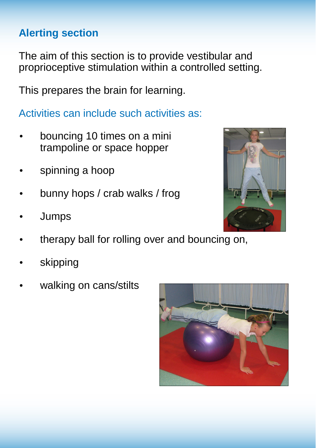### **Alerting section**

The aim of this section is to provide vestibular and proprioceptive stimulation within a controlled setting.

This prepares the brain for learning.

Activities can include such activities as:

- bouncing 10 times on a mini trampoline or space hopper
- spinning a hoop
- bunny hops / crab walks / frog
- Jumps
- therapy ball for rolling over and bouncing on,
- **skipping**
- walking on cans/stilts



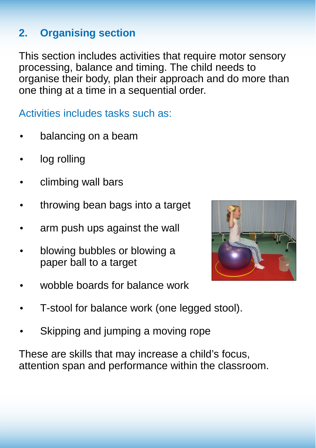### **2. Organising section**

This section includes activities that require motor sensory processing, balance and timing. The child needs to organise their body, plan their approach and do more than one thing at a time in a sequential order.

Activities includes tasks such as:

- balancing on a beam
- log rolling
- climbing wall bars
- throwing bean bags into a target
- arm push ups against the wall
- blowing bubbles or blowing a paper ball to a target



- wobble boards for balance work
- T-stool for balance work (one legged stool).
- Skipping and jumping a moving rope

These are skills that may increase a child's focus, attention span and performance within the classroom.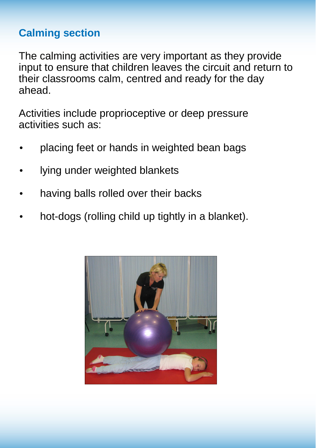#### **Calming section**

The calming activities are very important as they provide input to ensure that children leaves the circuit and return to their classrooms calm, centred and ready for the day ahead.

Activities include proprioceptive or deep pressure activities such as:

- placing feet or hands in weighted bean bags
- lying under weighted blankets
- having balls rolled over their backs
- hot-dogs (rolling child up tightly in a blanket).

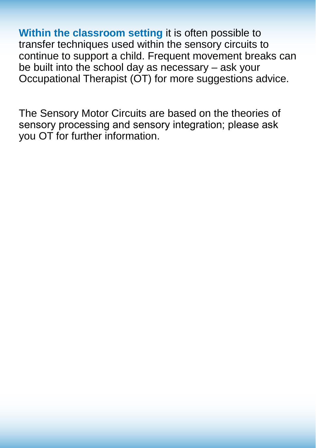**Within the classroom setting** it is often possible to transfer techniques used within the sensory circuits to continue to support a child. Frequent movement breaks can be built into the school day as necessary – ask your Occupational Therapist (OT) for more suggestions advice.

The Sensory Motor Circuits are based on the theories of sensory processing and sensory integration; please ask you OT for further information.